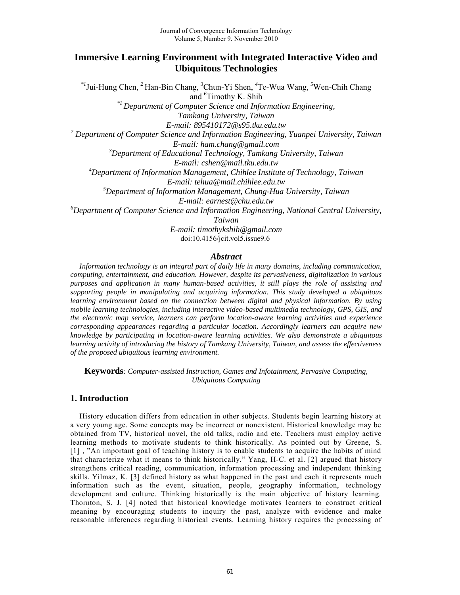# **Immersive Learning Environment with Integrated Interactive Video and Ubiquitous Technologies**

*\*1* Jui-Hung Chen, *<sup>2</sup>* Han-Bin Chang, *<sup>3</sup>*Chun-Yi Shen, *<sup>4</sup>*Te-Wua Wang, *<sup>5</sup>*Wen-Chih Chang and *<sup>6</sup>*Timothy K. Shih

*\*1 Department of Computer Science and Information Engineering,* 

*Tamkang University, Taiwan* 

*E-mail: 895410172@s95.tku.edu.tw* 

<sup>2</sup> Department of Computer Science and Information Engineering, Yuanpei University, Taiwan

*E-mail: ham.chang@gmail.com* 

*<sup>3</sup>Department of Educational Technology, Tamkang University, Taiwan* 

*E-mail: cshen@mail.tku.edu.tw* 

*<sup>4</sup>Department of Information Management, Chihlee Institute of Technology, Taiwan* 

*E-mail: tehua@mail.chihlee.edu.tw* 

*<sup>5</sup>Department of Information Management, Chung-Hua University, Taiwan* 

*E-mail: earnest@chu.edu.tw* 

*<sup>6</sup>Department of Computer Science and Information Engineering, National Central University,* 

*Taiwan* 

*E-mail: timothykshih@gmail.com*  doi:10.4156/jcit.vol5.issue9.6

## *Abstract*

*Information technology is an integral part of daily life in many domains, including communication, computing, entertainment, and education. However, despite its pervasiveness, digitalization in various purposes and application in many human-based activities, it still plays the role of assisting and supporting people in manipulating and acquiring information. This study developed a ubiquitous learning environment based on the connection between digital and physical information. By using mobile learning technologies, including interactive video-based multimedia technology, GPS, GIS, and the electronic map service, learners can perform location-aware learning activities and experience corresponding appearances regarding a particular location. Accordingly learners can acquire new knowledge by participating in location-aware learning activities. We also demonstrate a ubiquitous learning activity of introducing the history of Tamkang University, Taiwan, and assess the effectiveness of the proposed ubiquitous learning environment.* 

**Keywords***: Computer-assisted Instruction, Games and Infotainment, Pervasive Computing, Ubiquitous Computing* 

# **1. Introduction**

History education differs from education in other subjects. Students begin learning history at a very young age. Some concepts may be incorrect or nonexistent. Historical knowledge may be obtained from TV, historical novel, the old talks, radio and etc. Teachers must employ active learning methods to motivate students to think historically. As pointed out by Greene, S. [1] , "An important goal of teaching history is to enable students to acquire the habits of mind that characterize what it means to think historically." Yang, H-C. et al. [2] argued that history strengthens critical reading, communication, information processing and independent thinking skills. Yilmaz, K. [3] defined history as what happened in the past and each it represents much information such as the event, situation, people, geography information, technology development and culture. Thinking historically is the main objective of history learning. Thornton, S. J. [4] noted that historical knowledge motivates learners to construct critical meaning by encouraging students to inquiry the past, analyze with evidence and make reasonable inferences regarding historical events. Learning history requires the processing of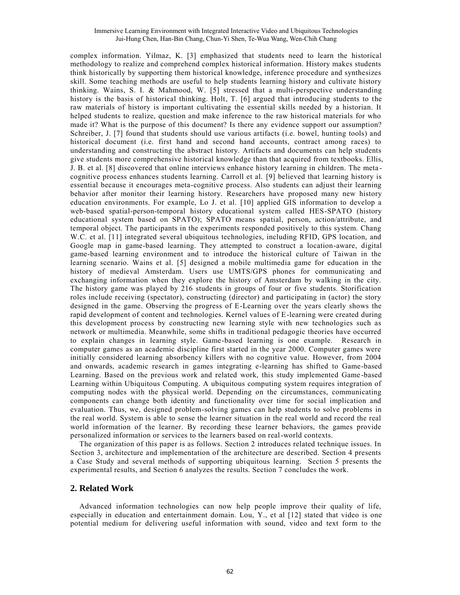complex information. Yilmaz, K. [3] emphasized that students need to learn the historical methodology to realize and comprehend complex historical information. History makes students think historically by supporting them historical knowledge, inference procedure and synthesizes skill. Some teaching methods are useful to help students learning history and cultivate history thinking. Wains, S. I. & Mahmood, W. [5] stressed that a multi-perspective understanding history is the basis of historical thinking. Holt, T. [6] argued that introducing students to the raw materials of history is important cultivating the essential skills needed by a historian. It helped students to realize, question and make inference to the raw historical materials for who made it? What is the purpose of this document? Is there any evidence support our assumption? Schreiber, J. [7] found that students should use various artifacts (i.e. bowel, hunting tools) and historical document (i.e. first hand and second hand accounts, contract among races) to understanding and constructing the abstract history. Artifacts and documents can help students give students more comprehensive historical knowledge than that acquired from textbooks. Ellis, J. B. et al. [8] discovered that online interviews enhance history learning in children. The meta cognitive process enhances students learning. Carroll et al. [9] believed that learning history is essential because it encourages meta-cognitive process. Also students can adjust their learning behavior after monitor their learning history. Researchers have proposed many new history education environments. For example, Lo J. et al. [10] applied GIS information to develop a web-based spatial-person-temporal history educational system called HES-SPATO (history educational system based on SPATO); SPATO means spatial, person, action/attribute, and temporal object. The participants in the experiments responded positively to this system. Chang W.C. et al. [11] integrated several ubiquitous technologies, including RFID, GPS location, and Google map in game-based learning. They attempted to construct a location-aware, digital game-based learning environment and to introduce the historical culture of Taiwan in the learning scenario. Wains et al. [5] designed a mobile multimedia game for education in the history of medieval Amsterdam. Users use UMTS/GPS phones for communicating and exchanging information when they explore the history of Amsterdam by walking in the city. The history game was played by 216 students in groups of four or five students. Storification roles include receiving (spectator), constructing (director) and participating in (actor) the story designed in the game. Observing the progress of E-Learning over the years clearly shows the rapid development of content and technologies. Kernel values of E-learning were created during this development process by constructing new learning style with new technologies such as network or multimedia. Meanwhile, some shifts in traditional pedagogic theories have occurred to explain changes in learning style. Game-based learning is one example. Research in computer games as an academic discipline first started in the year 2000. Computer games were initially considered learning absorbency killers with no cognitive value. However, from 2004 and onwards, academic research in games integrating e-learning has shifted to Game-based Learning. Based on the previous work and related work, this study implemented Game -based Learning within Ubiquitous Computing. A ubiquitous computing system requires integration of computing nodes with the physical world. Depending on the circumstances, communicating components can change both identity and functionality over time for social implication and evaluation. Thus, we, designed problem-solving games can help students to solve problems in the real world. System is able to sense the learner situation in the real world and record the real world information of the learner. By recording these learner behaviors, the games provide personalized information or services to the learners based on real-world contexts.

The organization of this paper is as follows. Section 2 introduces related technique issues. In Section 3, architecture and implementation of the architecture are described. Section 4 presents a Case Study and several methods of supporting ubiquitous learning. Section 5 presents the experimental results, and Section 6 analyzes the results. Section 7 concludes the work.

### **2. Related Work**

Advanced information technologies can now help people improve their quality of life, especially in education and entertainment domain. Lou, Y., et al [12] stated that video is one potential medium for delivering useful information with sound, video and text form to the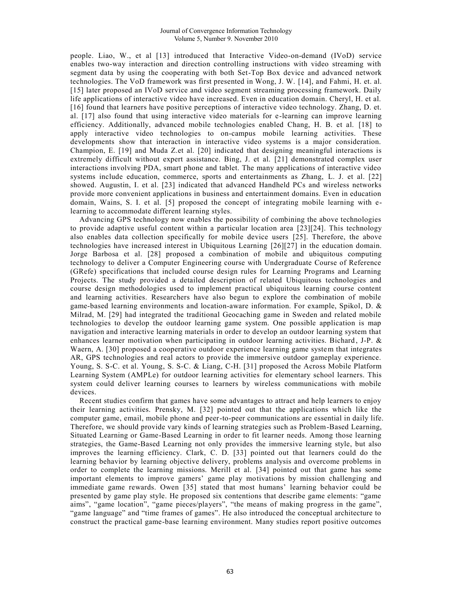people. Liao, W., et al [13] introduced that Interactive Video-on-demand (IVoD) service enables two-way interaction and direction controlling instructions with video streaming with segment data by using the cooperating with both Set-Top Box device and advanced network technologies. The VoD framework was first presented in Wong, J. W. [14], and Fahmi, H. et. al. [15] later proposed an IVoD service and video segment streaming processing framework. Daily life applications of interactive video have increased. Even in education domain. Cheryl, H. et al. [16] found that learners have positive perceptions of interactive video technology. Zhang, D. et. al. [17] also found that using interactive video materials for e-learning can improve learning efficiency. Additionally, advanced mobile technologies enabled Chang, H. B. et al. [18] to apply interactive video technologies to on-campus mobile learning activities. These developments show that interaction in interactive video systems is a major consideration. Champion, E. [19] and Muda Z.et al. [20] indicated that designing meaningful interactions is extremely difficult without expert assistance. Bing, J. et al. [21] demonstrated complex user interactions involving PDA, smart phone and tablet. The many applications of interactive video systems include education, commerce, sports and entertainments as Zhang, L. J. et al. [22] showed. Augustin, I. et al. [23] indicated that advanced Handheld PCs and wireless networks provide more convenient applications in business and entertainment domains. Even in education domain, Wains, S. I. et al. [5] proposed the concept of integrating mobile learning with elearning to accommodate different learning styles.

Advancing GPS technology now enables the possibility of combining the above technologies to provide adaptive useful content within a particular location area [23][24]. This technology also enables data collection specifically for mobile device users [25]. Therefore, the above technologies have increased interest in Ubiquitous Learning [26][27] in the education domain. Jorge Barbosa et al. [28] proposed a combination of mobile and ubiquitous computing technology to deliver a Computer Engineering course with Undergraduate Course of Reference (GRefe) specifications that included course design rules for Learning Programs and Learning Projects. The study provided a detailed description of related Ubiquitous technologies and course design methodologies used to implement practical ubiquitous learning course content and learning activities. Researchers have also begun to explore the combination of mobile game-based learning environments and location-aware information. For example, Spikol, D. & Milrad, M. [29] had integrated the traditional Geocaching game in Sweden and related mobile technologies to develop the outdoor learning game system. One possible application is map navigation and interactive learning materials in order to develop an outdoor learning system that enhances learner motivation when participating in outdoor learning activities. Bichard, J-P.  $\&$ Waern, A. [30] proposed a cooperative outdoor experience learning game system that integrates AR, GPS technologies and real actors to provide the immersive outdoor gameplay experience. Young, S. S-C. et al. Young, S. S-C. & Liang, C-H. [31] proposed the Across Mobile Platform Learning System (AMPLe) for outdoor learning activities for elementary school learners. This system could deliver learning courses to learners by wireless communications with mobile devices.

Recent studies confirm that games have some advantages to attract and help learners to enjoy their learning activities. Prensky, M. [32] pointed out that the applications which like the computer game, email, mobile phone and peer-to-peer communications are essential in daily life. Therefore, we should provide vary kinds of learning strategies such as Problem-Based Learning, Situated Learning or Game-Based Learning in order to fit learner needs. Among those learning strategies, the Game-Based Learning not only provides the immersive learning style, but also improves the learning efficiency. Clark, C. D. [33] pointed out that learners could do the learning behavior by learning objective delivery, problems analysis and overcome problems in order to complete the learning missions. Merill et al. [34] pointed out that game has some important elements to improve gamers' game play motivations by mission challenging and immediate game rewards. Owen [35] stated that most humans' learning behavior could be presented by game play style. He proposed six contentions that describe game elements: "game aims", "game location", "game pieces/players", "the means of making progress in the game", "game language" and "time frames of games". He also introduced the conceptual architecture to construct the practical game-base learning environment. Many studies report positive outcomes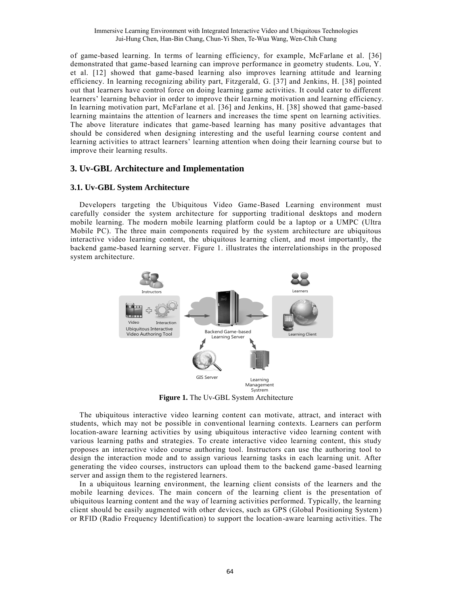of game-based learning. In terms of learning efficiency, for example, McFarlane et al. [36] demonstrated that game-based learning can improve performance in geometry students. Lou, Y. et al. [12] showed that game-based learning also improves learning attitude and learning efficiency. In learning recognizing ability part, Fitzgerald, G. [37] and Jenkins, H. [38] pointed out that learners have control force on doing learning game activities. It could cater to different learners' learning behavior in order to improve their learning motivation and learning efficiency. In learning motivation part, McFarlane et al. [36] and Jenkins, H. [38] showed that game-based learning maintains the attention of learners and increases the time spent on learning activities. The above literature indicates that game-based learning has many positive advantages that should be considered when designing interesting and the useful learning course content and learning activities to attract learners' learning attention when doing their learning course but to improve their learning results.

## **3. Uv-GBL Architecture and Implementation**

## **3.1. Uv-GBL System Architecture**

Developers targeting the Ubiquitous Video Game-Based Learning environment must carefully consider the system architecture for supporting traditional desktops and modern mobile learning. The modern mobile learning platform could be a laptop or a UMPC (Ultra Mobile PC). The three main components required by the system architecture are ubiquitous interactive video learning content, the ubiquitous learning client, and most importantly, the backend game-based learning server. Figure 1. illustrates the interrelationships in the proposed system architecture.



**Figure 1.** The Uv-GBL System Architecture

The ubiquitous interactive video learning content can motivate, attract, and interact with students, which may not be possible in conventional learning contexts. Learners can perform location-aware learning activities by using ubiquitous interactive video learning content with various learning paths and strategies. To create interactive video learning content, this study proposes an interactive video course authoring tool. Instructors can use the authoring tool to design the interaction mode and to assign various learning tasks in each learning unit. After generating the video courses, instructors can upload them to the backend game -based learning server and assign them to the registered learners.

In a ubiquitous learning environment, the learning client consists of the learners and the mobile learning devices. The main concern of the learning client is the presentation of ubiquitous learning content and the way of learning activities performed. Typically, the learning client should be easily augmented with other devices, such as GPS (Global Positioning System) or RFID (Radio Frequency Identification) to support the location-aware learning activities. The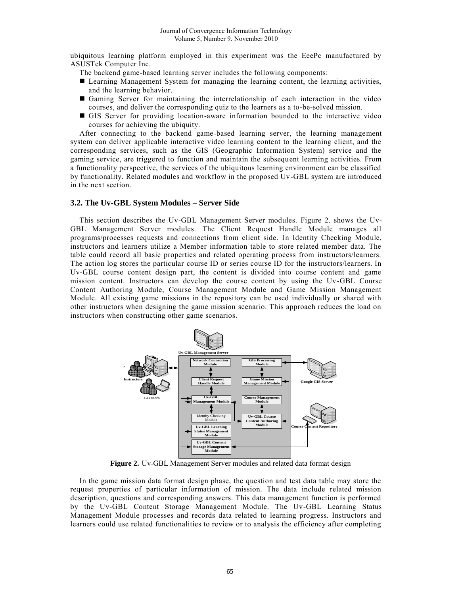ubiquitous learning platform employed in this experiment was the EeePc manufactured by ASUSTek Computer Inc.

The backend game-based learning server includes the following components:

- Learning Management System for managing the learning content, the learning activities, and the learning behavior.
- Gaming Server for maintaining the interrelationship of each interaction in the video courses, and deliver the corresponding quiz to the learners as a to-be-solved mission.
- GIS Server for providing location-aware information bounded to the interactive video courses for achieving the ubiquity.

After connecting to the backend game-based learning server, the learning management system can deliver applicable interactive video learning content to the learning client, and the corresponding services, such as the GIS (Geographic Information System) service and the gaming service, are triggered to function and maintain the subsequent learning activities. From a functionality perspective, the services of the ubiquitous learning environment can be classified by functionality. Related modules and workflow in the proposed Uv-GBL system are introduced in the next section.

## **3.2. The Uv-GBL System Modules – Server Side**

This section describes the Uv-GBL Management Server modules. Figure 2. shows the Uv-GBL Management Server modules. The Client Request Handle Module manages all programs/processes requests and connections from client side. In Identity Checking Module, instructors and learners utilize a Member information table to store related member data. The table could record all basic properties and related operating process from instructors/learners. The action log stores the particular course ID or series course ID for the instructors/learners. In Uv-GBL course content design part, the content is divided into course content and game mission content. Instructors can develop the course content by using the Uv-GBL Course Content Authoring Module, Course Management Module and Game Mission Management Module. All existing game missions in the repository can be used individually or shared with other instructors when designing the game mission scenario. This approach reduces the load on instructors when constructing other game scenarios.



**Figure 2.** Uv-GBL Management Server modules and related data format design

In the game mission data format design phase, the question and test data table may store the request properties of particular information of mission. The data include related mission description, questions and corresponding answers. This data management function is performed by the Uv-GBL Content Storage Management Module. The Uv-GBL Learning Status Management Module processes and records data related to learning progress. Instructors and learners could use related functionalities to review or to analysis the efficiency after completing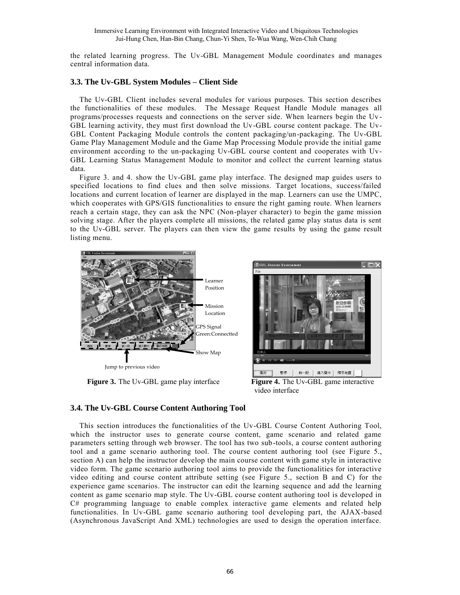Immersive Learning Environment with Integrated Interactive Video and Ubiquitous Technologies Jui-Hung Chen, Han-Bin Chang, Chun-Yi Shen, Te-Wua Wang, Wen-Chih Chang

the related learning progress. The Uv-GBL Management Module coordinates and manages central information data.

#### **3.3. The Uv-GBL System Modules – Client Side**

The Uv-GBL Client includes several modules for various purposes. This section describes the functionalities of these modules. The Message Request Handle Module manages all programs/processes requests and connections on the server side. When learners begin the Uv - GBL learning activity, they must first download the Uv-GBL course content package. The Uv-GBL Content Packaging Module controls the content packaging/un-packaging. The Uv-GBL Game Play Management Module and the Game Map Processing Module provide the initial game environment according to the un-packaging Uv-GBL course content and cooperates with Uv-GBL Learning Status Management Module to monitor and collect the current learning status data.

Figure 3. and 4. show the Uv-GBL game play interface. The designed map guides users to specified locations to find clues and then solve missions. Target locations, success/failed locations and current location of learner are displayed in the map. Learners can use the UMPC, which cooperates with GPS/GIS functionalities to ensure the right gaming route. When learners reach a certain stage, they can ask the NPC (Non-player character) to begin the game mission solving stage. After the players complete all missions, the related game play status data is sent to the Uv-GBL server. The players can then view the game results by using the game result listing menu.



Jump to previous video



**Figure 3.** The Uv-GBL game play interface **Figure 4.** The Uv-GBL game interactive video interface

#### **3.4. The Uv-GBL Course Content Authoring Tool**

This section introduces the functionalities of the Uv-GBL Course Content Authoring Tool, which the instructor uses to generate course content, game scenario and related game parameters setting through web browser. The tool has two sub-tools, a course content authoring tool and a game scenario authoring tool. The course content authoring tool (see Figure 5., section A) can help the instructor develop the main course content with game style in interactive video form. The game scenario authoring tool aims to provide the functionalities for interactive video editing and course content attribute setting (see Figure 5., section B and C) for the experience game scenarios. The instructor can edit the learning sequence and add the learning content as game scenario map style. The Uv-GBL course content authoring tool is developed in C# programming language to enable complex interactive game elements and related help functionalities. In Uv-GBL game scenario authoring tool developing part, the AJAX-based (Asynchronous JavaScript And XML) technologies are used to design the operation interface.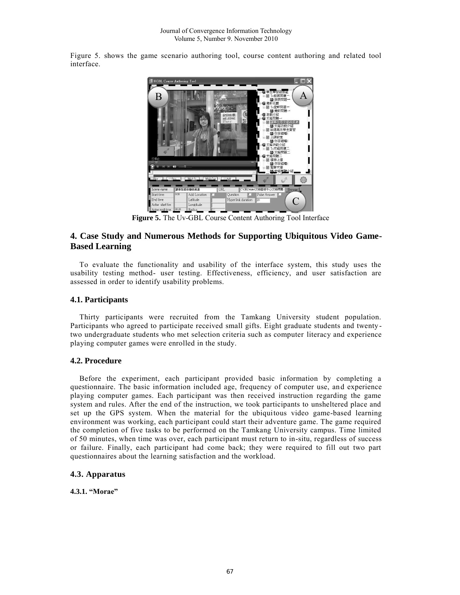Figure 5. shows the game scenario authoring tool, course content authoring and related tool interface.



**Figure 5.** The Uv-GBL Course Content Authoring Tool Interface

# **4. Case Study and Numerous Methods for Supporting Ubiquitous Video Game-Based Learning**

To evaluate the functionality and usability of the interface system, this study uses the usability testing method- user testing. Effectiveness, efficiency, and user satisfaction are assessed in order to identify usability problems.

## **4.1. Participants**

Thirty participants were recruited from the Tamkang University student population. Participants who agreed to participate received small gifts. Eight graduate students and twenty two undergraduate students who met selection criteria such as computer literacy and experience playing computer games were enrolled in the study.

### **4.2. Procedure**

Before the experiment, each participant provided basic information by completing a questionnaire. The basic information included age, frequency of computer use, and experience playing computer games. Each participant was then received instruction regarding the game system and rules. After the end of the instruction, we took participants to unsheltered place and set up the GPS system. When the material for the ubiquitous video game-based learning environment was working, each participant could start their adventure game. The game required the completion of five tasks to be performed on the Tamkang University campus. Time limited of 50 minutes, when time was over, each participant must return to in-situ, regardless of success or failure. Finally, each participant had come back; they were required to fill out two part questionnaires about the learning satisfaction and the workload.

### **4.3. Apparatus**

**4.3.1. "Morae"**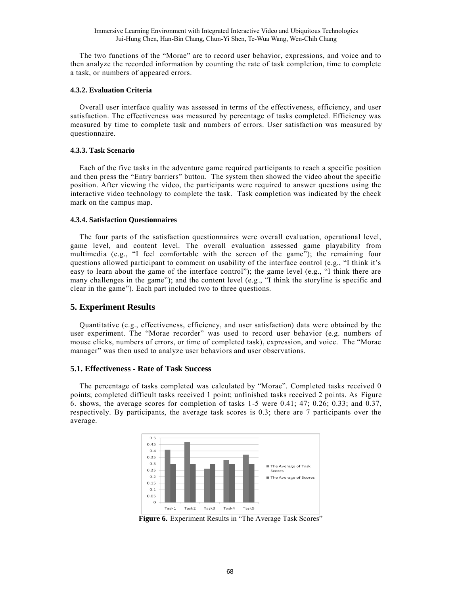The two functions of the "Morae" are to record user behavior, expressions, and voice and to then analyze the recorded information by counting the rate of task completion, time to complete a task, or numbers of appeared errors.

#### **4.3.2. Evaluation Criteria**

Overall user interface quality was assessed in terms of the effectiveness, efficiency, and user satisfaction. The effectiveness was measured by percentage of tasks completed. Efficiency was measured by time to complete task and numbers of errors. User satisfaction was measured by questionnaire.

#### **4.3.3. Task Scenario**

Each of the five tasks in the adventure game required participants to reach a specific position and then press the "Entry barriers" button. The system then showed the video about the specific position. After viewing the video, the participants were required to answer questions using the interactive video technology to complete the task. Task completion was indicated by the check mark on the campus map.

#### **4.3.4. Satisfaction Questionnaires**

The four parts of the satisfaction questionnaires were overall evaluation, operational level, game level, and content level. The overall evaluation assessed game playability from multimedia (e.g., "I feel comfortable with the screen of the game"); the remaining four questions allowed participant to comment on usability of the interface control (e.g., "I think it's easy to learn about the game of the interface control"); the game level (e.g., "I think there are many challenges in the game"); and the content level  $(e.g., "I think the storyline is specific and$ clear in the game"). Each part included two to three questions.

## **5. Experiment Results**

Quantitative (e.g., effectiveness, efficiency, and user satisfaction) data were obtained by the user experiment. The "Morae recorder" was used to record user behavior (e.g. numbers of mouse clicks, numbers of errors, or time of completed task), expression, and voice. The "Morae manager" was then used to analyze user behaviors and user observations.

### **5.1. Effectiveness - Rate of Task Success**

The percentage of tasks completed was calculated by "Morae". Completed tasks received 0 points; completed difficult tasks received 1 point; unfinished tasks received 2 points. As Figure 6. shows, the average scores for completion of tasks 1-5 were 0.41; 47; 0.26; 0.33; and 0.37, respectively. By participants, the average task scores is 0.3; there are 7 participants over the average.



**Figure 6.** Experiment Results in "The Average Task Scores"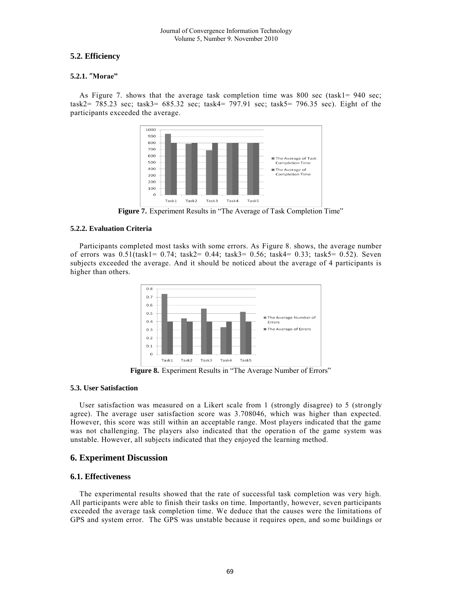## **5.2. Efficiency**

### **5.2.1.** "**Morae"**

As Figure 7. shows that the average task completion time was 800 sec (task1= 940 sec; task2= 785.23 sec; task3= 685.32 sec; task4= 797.91 sec; task5= 796.35 sec). Eight of the participants exceeded the average.



**Figure 7.** Experiment Results in "The Average of Task Completion Time"

### **5.2.2. Evaluation Criteria**

Participants completed most tasks with some errors. As Figure 8. shows, the average number of errors was 0.51(task1= 0.74; task2= 0.44; task3= 0.56; task4= 0.33; task5= 0.52). Seven subjects exceeded the average. And it should be noticed about the average of 4 participants is higher than others.



**Figure 8.** Experiment Results in "The Average Number of Errors"

### **5.3. User Satisfaction**

User satisfaction was measured on a Likert scale from 1 (strongly disagree) to 5 (strongly agree). The average user satisfaction score was 3.708046, which was higher than expected. However, this score was still within an acceptable range. Most players indicated that the game was not challenging. The players also indicated that the operation of the game system was unstable. However, all subjects indicated that they enjoyed the learning method.

## **6. Experiment Discussion**

## **6.1. Effectiveness**

The experimental results showed that the rate of successful task completion was very high. All participants were able to finish their tasks on time. Importantly, however, seven participants exceeded the average task completion time. We deduce that the causes were the limitations of GPS and system error. The GPS was unstable because it requires open, and so me buildings or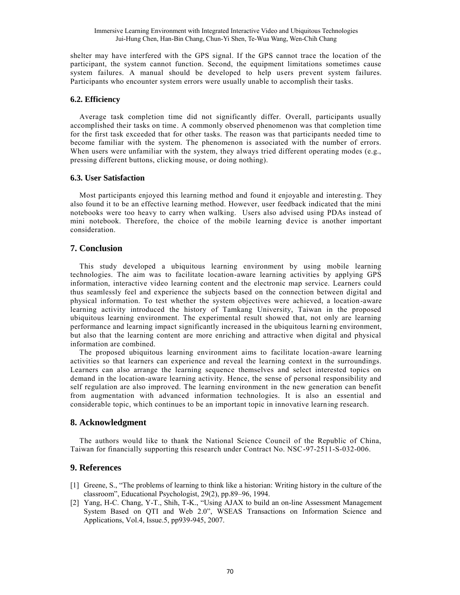shelter may have interfered with the GPS signal. If the GPS cannot trace the location of the participant, the system cannot function. Second, the equipment limitations sometimes cause system failures. A manual should be developed to help users prevent system failures. Participants who encounter system errors were usually unable to accomplish their tasks.

## **6.2. Efficiency**

Average task completion time did not significantly differ. Overall, participants usually accomplished their tasks on time. A commonly observed phenomenon was that completion time for the first task exceeded that for other tasks. The reason was that participants needed time to become familiar with the system. The phenomenon is associated with the number of errors. When users were unfamiliar with the system, they always tried different operating modes (e.g., pressing different buttons, clicking mouse, or doing nothing).

## **6.3. User Satisfaction**

Most participants enjoyed this learning method and found it enjoyable and interestin g. They also found it to be an effective learning method. However, user feedback indicated that the mini notebooks were too heavy to carry when walking. Users also advised using PDAs instead of mini notebook. Therefore, the choice of the mobile learning device is another important consideration.

## **7. Conclusion**

This study developed a ubiquitous learning environment by using mobile learning technologies. The aim was to facilitate location-aware learning activities by applying GPS information, interactive video learning content and the electronic map service. Learners could thus seamlessly feel and experience the subjects based on the connection between digital and physical information. To test whether the system objectives were achieved, a location -aware learning activity introduced the history of Tamkang University, Taiwan in the proposed ubiquitous learning environment. The experimental result showed that, not only are learning performance and learning impact significantly increased in the ubiquitous learni ng environment, but also that the learning content are more enriching and attractive when digital and physical information are combined.

The proposed ubiquitous learning environment aims to facilitate location-aware learning activities so that learners can experience and reveal the learning context in the surroundings. Learners can also arrange the learning sequence themselves and select interested topics on demand in the location-aware learning activity. Hence, the sense of personal responsibility and self regulation are also improved. The learning environment in the new generation can benefit from augmentation with advanced information technologies. It is also an essential and considerable topic, which continues to be an important topic in innovative learn ing research.

## **8. Acknowledgment**

The authors would like to thank the National Science Council of the Republic of China, Taiwan for financially supporting this research under Contract No. NSC-97-2511-S-032-006.

## **9. References**

- [1] Greene, S., "The problems of learning to think like a historian: Writing history in the culture of the classroom", Educational Psychologist, 29(2), pp.89–96, 1994.
- [2] Yang, H-C. Chang, Y-T., Shih, T-K., "Using AJAX to build an on-line Assessment Management System Based on QTI and Web 2.0", WSEAS Transactions on Information Science and Applications, Vol.4, Issue.5, pp939-945, 2007.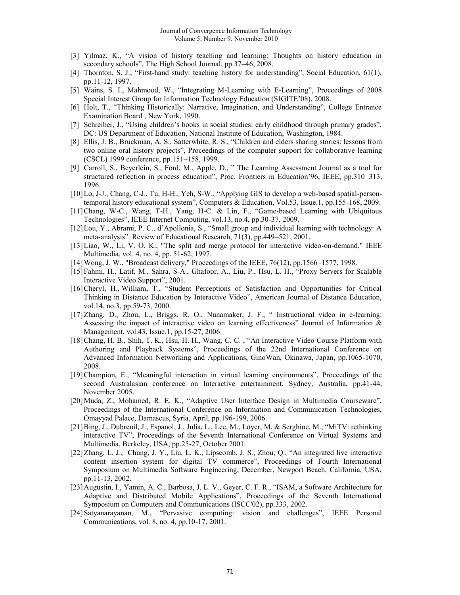- [3] Yilmaz, K., "A vision of history teaching and learning: Thoughts on history education in secondary schools", The High School Journal, pp.37–46, 2008.
- [4] Thornton, S. J., "First-hand study: teaching history for understanding", Social Education, 61(1), pp.11-12, 1997.
- [5] Wains, S. I., Mahmood, W., "Integrating M-Learning with E-Learning", Proceedings of 2008 Special Interest Group for Information Technology Education (SIGITE'08), 2008.
- [6] Holt, T., "Thinking Historically: Narrative, Imagination, and Understanding", College Entrance Examination Board , New York, 1990.
- [7] Schreiber, J., "Using children's books in social studies: early childhood through primary grades", DC: US Department of Education, National Institute of Education, Washington, 1984.
- [8] Ellis, J. B., Bruckman, A. S., Satterwhite, R. S., "Children and elders sharing stories: lessons from two online oral history projects", Proceedings of the computer support for collaborative learning (CSCL) 1999 conference, pp.151–158, 1999.
- [9] Carroll, S., Beyerlein, S., Ford, M., Apple, D., " The Learning Assessment Journal as a tool for structured reflection in process education", Proc. Frontiers in Education'96, IEEE, pp.310–313, 1996.
- [10]Lo, J-J., Chang, C-J., Tu, H-H., Yeh, S-W., "Applying GIS to develop a web-based spatial-persontemporal history educational system", Computers & Education, Vol.53, Issue.1, pp.155-168, 2009.
- [11]Chang, W-C., Wang, T-H., Yang, H-C. & Lin, F., "Game-based Learning with Ubiquitous Technologies", IEEE Internet Computing, vol.13, no.4, pp.30-37, 2009.
- [12]Lou, Y., Abrami, P. C., d'Apollonia, S., "Small group and individual learning with technology: A meta-analysis". Review of Educational Research, 71(3), pp.449–521, 2001.
- [13]Liao, W., Li, V. O. K., "The split and merge protocol for interactive video-on-demand," IEEE Multimedia, vol. 4, no. 4, pp. 51-62, 1997.
- [14]Wong, J. W., "Broadcast delivery," Proceedings of the IEEE, 76(12), pp.1566–1577, 1998.
- [15[\]Fahmi,](http://www.computer.org/search/results?action=authorsearch&resultsPerPage=50&queryOption1=DC_CREATOR&sortOrder=descending&queryText1=Husni%20Fahmi) H., [Latif,](http://www.computer.org/search/results?action=authorsearch&resultsPerPage=50&queryOption1=DC_CREATOR&sortOrder=descending&queryText1=Mudassir%20Latif) M., [Sahra,](http://www.computer.org/search/results?action=authorsearch&resultsPerPage=50&queryOption1=DC_CREATOR&sortOrder=descending&queryText1=Sahra%20Sedigh-Ali) S-A., [Ghafoor,](http://www.computer.org/search/results?action=authorsearch&resultsPerPage=50&queryOption1=DC_CREATOR&sortOrder=descending&queryText1=Arif%20Ghafoor) A., [Liu,](http://www.computer.org/search/results?action=authorsearch&resultsPerPage=50&queryOption1=DC_CREATOR&sortOrder=descending&queryText1=Peiya%20Liu) P., [Hsu,](http://www.computer.org/search/results?action=authorsearch&resultsPerPage=50&queryOption1=DC_CREATOR&sortOrder=descending&queryText1=Liang%20H.%20Hsu) L. H., "Proxy Servers for Scalable Interactive Video Support", 2001.
- [16[\]Cheryl,](http://eric.ed.gov/ERICWebPortal/Home.portal?_nfpb=true&_pageLabel=ERICSearchResult&_urlType=action&newSearch=true&ERICExtSearch_SearchType_0=au&ERICExtSearch_SearchValue_0=%22Hilgenberg+Cheryl%22) H., [William,](http://eric.ed.gov/ERICWebPortal/Home.portal?_nfpb=true&_pageLabel=ERICSearchResult&_urlType=action&newSearch=true&ERICExtSearch_SearchType_0=au&ERICExtSearch_SearchValue_0=%22Tolone+William%22) T., "Student Perceptions of Satisfaction and Opportunities for Critical Thinking in Distance Education by Interactive Video", American Journal of Distance Education, vol.14. no.3, pp.59-73, 2000.
- [17[\]Zhang,](http://www.sciencedirect.com/science?_ob=ArticleURL&_udi=B6VD0-4FTMM30-1&_user=10&_rdoc=1&_fmt=&_orig=search&_sort=d&_docanchor=&view=c&_searchStrId=1103204945&_rerunOrigin=scholar.google&_acct=C000050221&_version=1&_urlVersion=0&_userid=10&md5=ed764b72778b4a8640be1f74e05b7ebc#vt1) D., [Zhou,](http://www.sciencedirect.com/science?_ob=ArticleURL&_udi=B6VD0-4FTMM30-1&_user=10&_rdoc=1&_fmt=&_orig=search&_sort=d&_docanchor=&view=c&_searchStrId=1103204945&_rerunOrigin=scholar.google&_acct=C000050221&_version=1&_urlVersion=0&_userid=10&md5=ed764b72778b4a8640be1f74e05b7ebc#vt2) L., [Briggs,](http://www.sciencedirect.com/science?_ob=ArticleURL&_udi=B6VD0-4FTMM30-1&_user=10&_rdoc=1&_fmt=&_orig=search&_sort=d&_docanchor=&view=c&_searchStrId=1103204945&_rerunOrigin=scholar.google&_acct=C000050221&_version=1&_urlVersion=0&_userid=10&md5=ed764b72778b4a8640be1f74e05b7ebc#vt3) R. O., [Nunamaker,](http://www.sciencedirect.com/science?_ob=ArticleURL&_udi=B6VD0-4FTMM30-1&_user=10&_rdoc=1&_fmt=&_orig=search&_sort=d&_docanchor=&view=c&_searchStrId=1103204945&_rerunOrigin=scholar.google&_acct=C000050221&_version=1&_urlVersion=0&_userid=10&md5=ed764b72778b4a8640be1f74e05b7ebc#vt4) J. F., " Instructional video in e-learning: Assessing the impact of interactive video on learning effectiveness" Journal of [Information &](http://www.sciencedirect.com/science/journal/03787206)  [Management,](http://www.sciencedirect.com/science/journal/03787206) [vol.43, Issue.1,](http://www.sciencedirect.com/science?_ob=PublicationURL&_tockey=%23TOC%235968%232006%23999569998%23613874%23FLA%23&_cdi=5968&_pubType=J&view=c&_auth=y&_acct=C000050221&_version=1&_urlVersion=0&_userid=10&md5=f995976bcdf23eb5d008ea4bca3f31b2) pp.15-27, 2006.
- [18]Chang, H. B., Shih, T. K., Hsu, H. H., Wang, C. C. , "An Interactive Video Course Platform with Authoring and Playback Systems", Proceedings of the 22nd International Conference on Advanced Information Networking and Applications, GinoWan, Okinawa, Japan, pp.1065-1070, 2008.
- [19]Champion, E., ["Meaningful interaction in virtual learning environments"](http://portal.acm.org/citation.cfm?id=1109186&coll=Portal&dl=GUIDE&CFID=7605437&CFTOKEN=53529445), Proceedings of the second Australasian conference on Interactive entertainment, Sydney, Australia, pp.41-44, November 2005.
- [20]Muda, Z., Mohamed, R. E. K., "Adaptive User Interface Design in Multimedia Courseware", Proceedings of the International Conference on [Information and Communication Technologies,](http://ieeexplore.ieee.org/xpl/RecentCon.jsp?punumber=11100)  Omayyad Palace, Damascus, Syria, April, pp.196-199, 2006.
- [21]Bing, J., Dubreuil, J., Espanol, J., Julia, L., Lee, M., Loyer, M. & Serghine, M., "MiTV: rethinking interactive TV", Proceedings of the Seventh International Conference on Virtual Systems and Multimedia, Berkeley, USA, pp.25-27, October 2001.
- [22]Zhang, L. J., Chung, J. Y., Liu, L. K., Lipscomb, J. S., Zhou, Q., "An integrated live interactive content insertion system for digital TV commerce", Proceedings of Fourth International Symposium on Multimedia Software Engineering, December, Newport Beach, California, USA, pp.11-13, 2002.
- [23]Augustin, I., Yamin, A. C., Barbosa, J. L. V., Geyer, C. F. R., "ISAM, a Software Architecture for Adaptive and Distributed Mobile Applications", Proceedings of the Seventh International Symposium on Computers and Communications (ISCC'02), pp.333, 2002.
- [24]Satyanarayanan, M., "Pervasive computing: vision and challenges", IEEE Personal Communications, vol. 8, no. 4, pp.10-17, 2001.